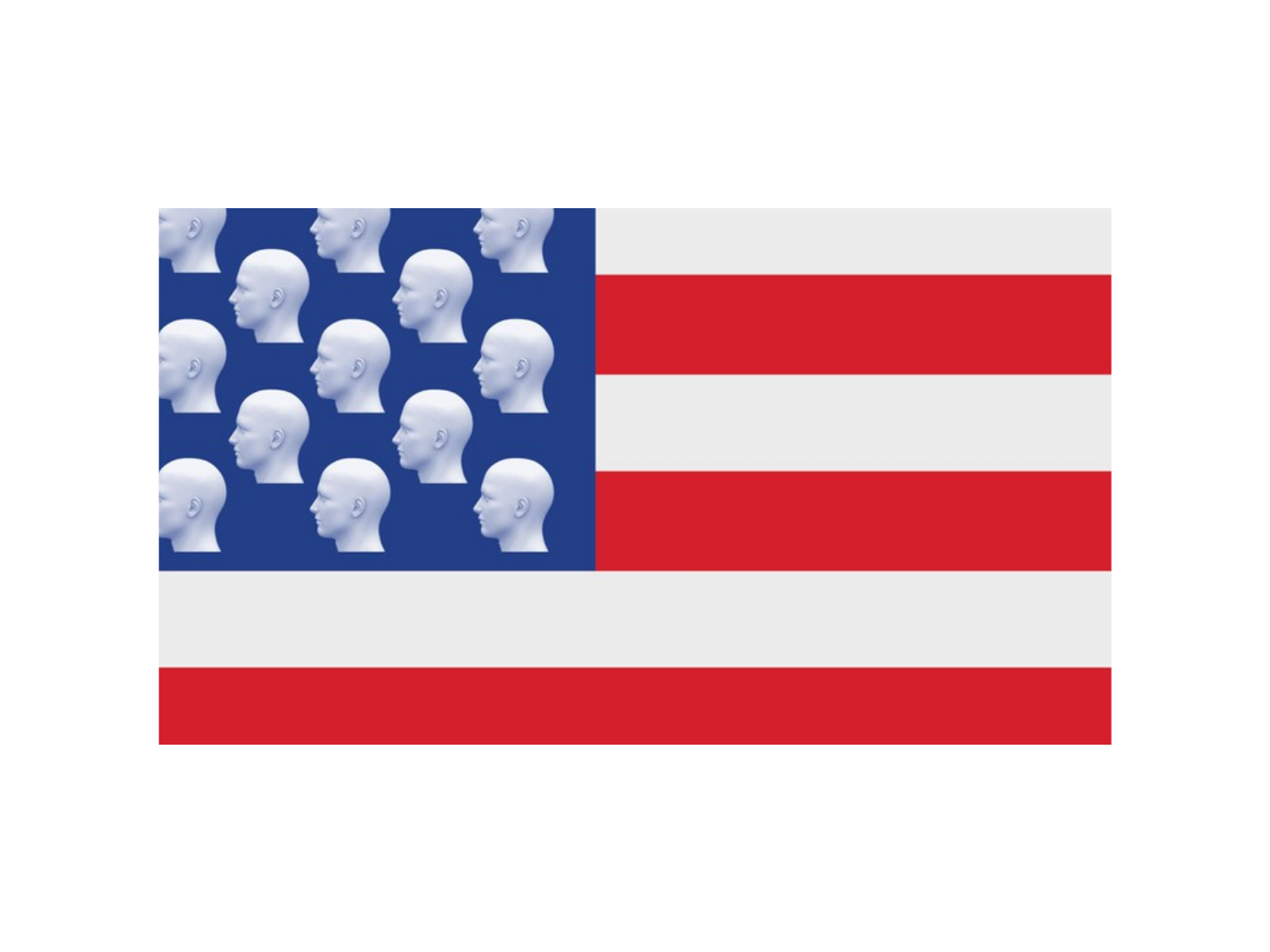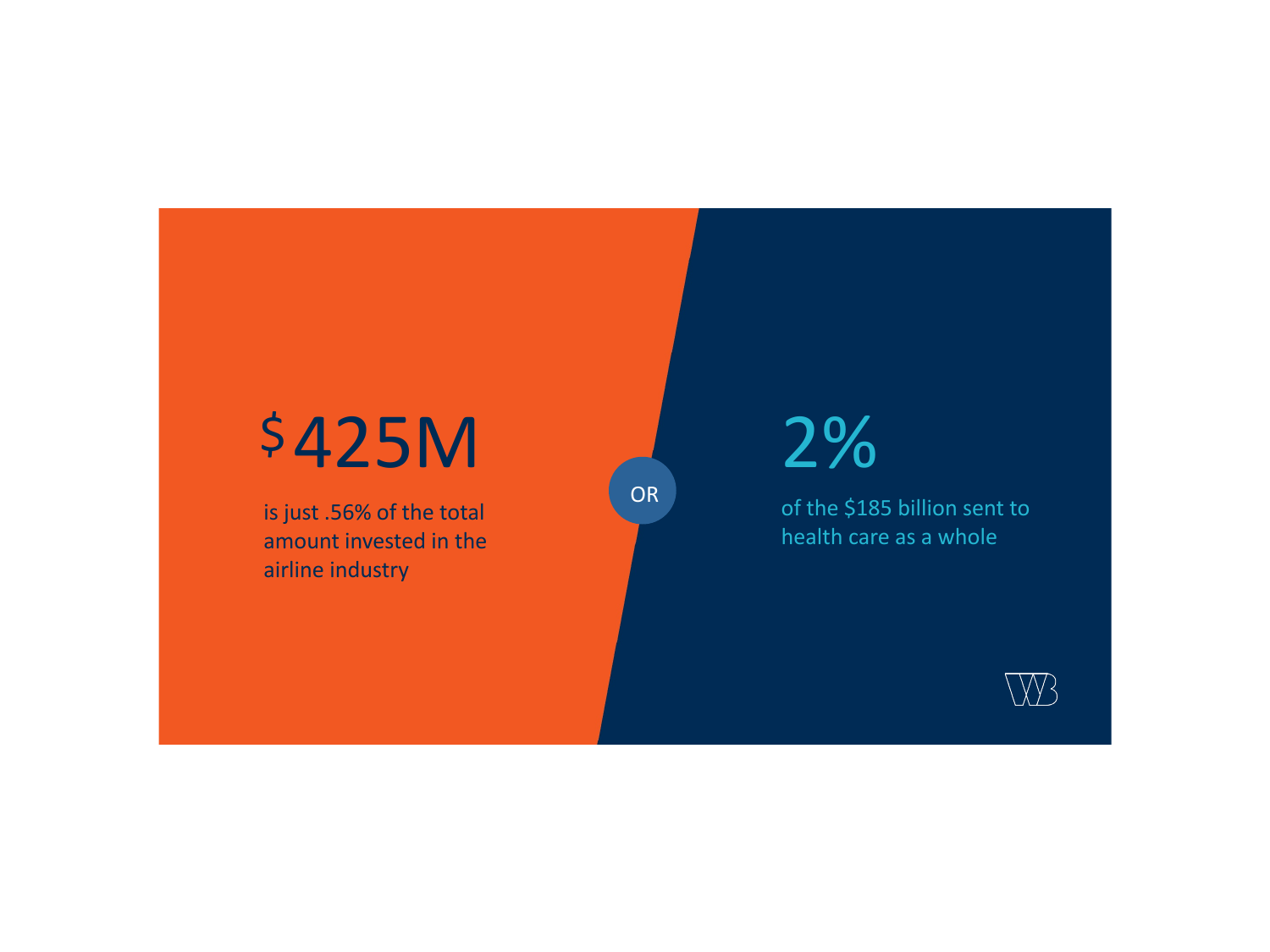## \$ 425M 2% ORof the \$185 billion sent to is just .56% of the total health care as a whole amount invested in the airline industry **W**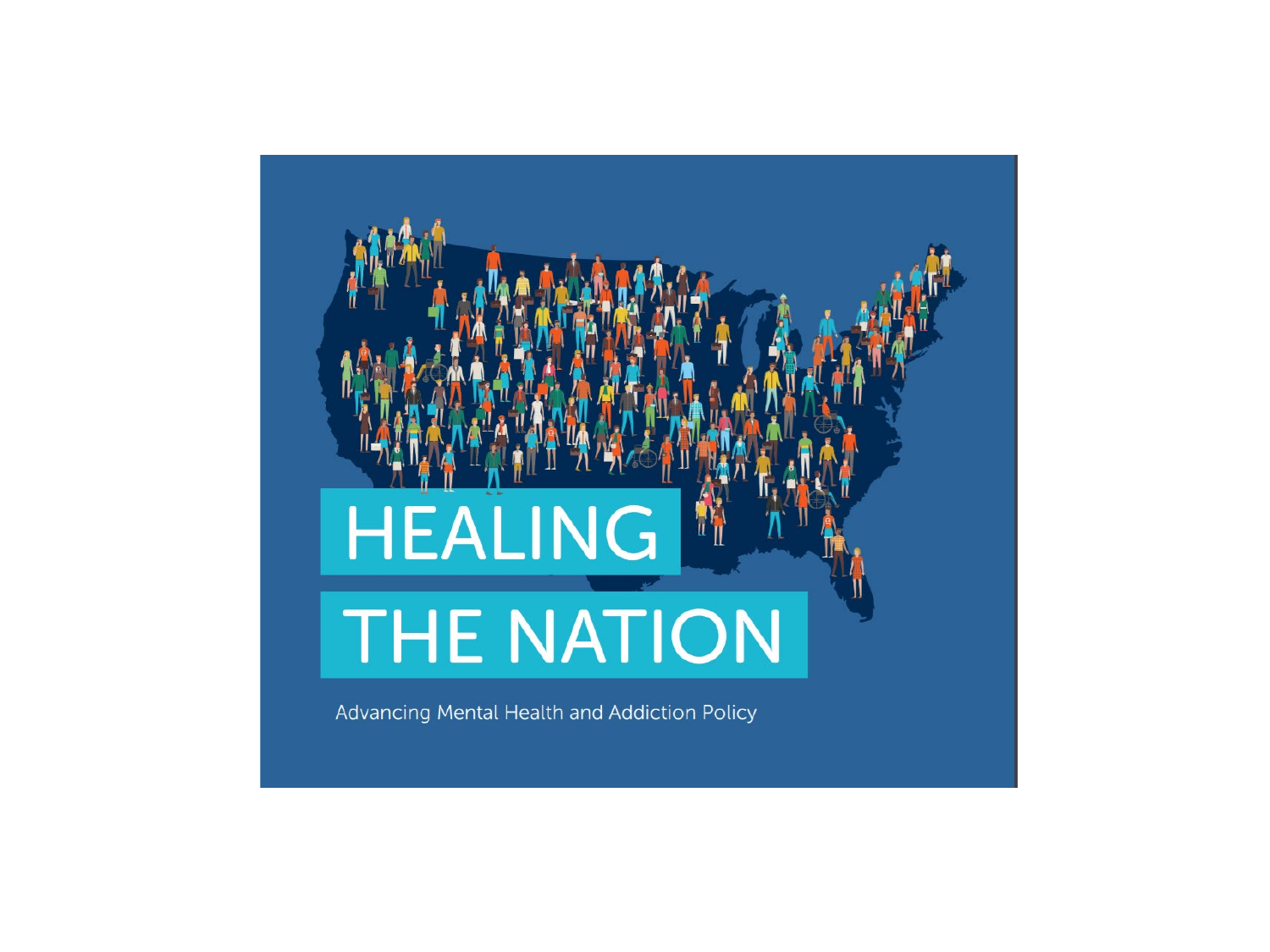

Advancing Mental Health and Addiction Policy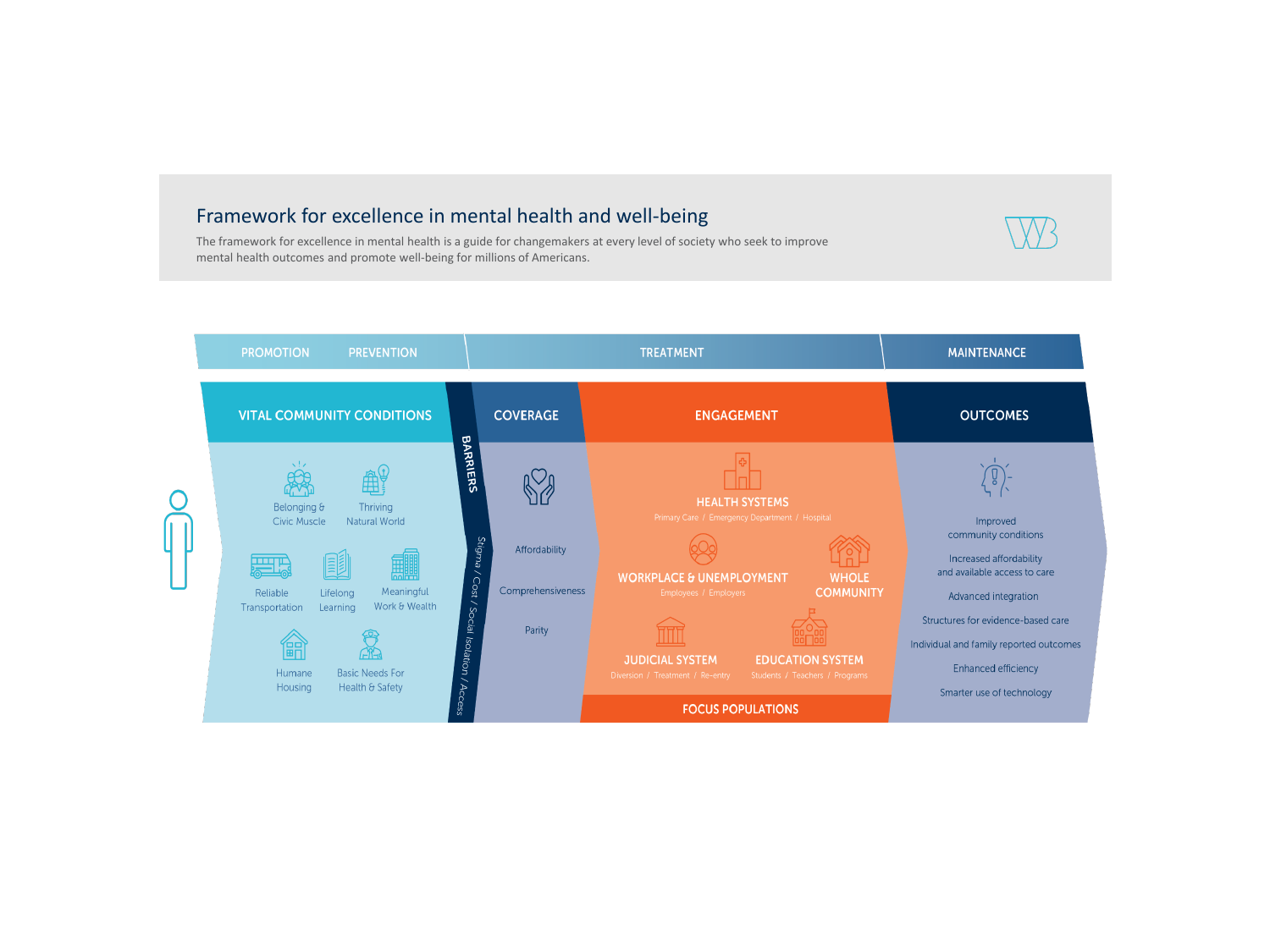## Framework for excellence in mental health and well-being

The framework for excellence in mental health is a guide for changemakers at every level of society who seek to improve mental health outcomes and promote well-being for millions of Americans.

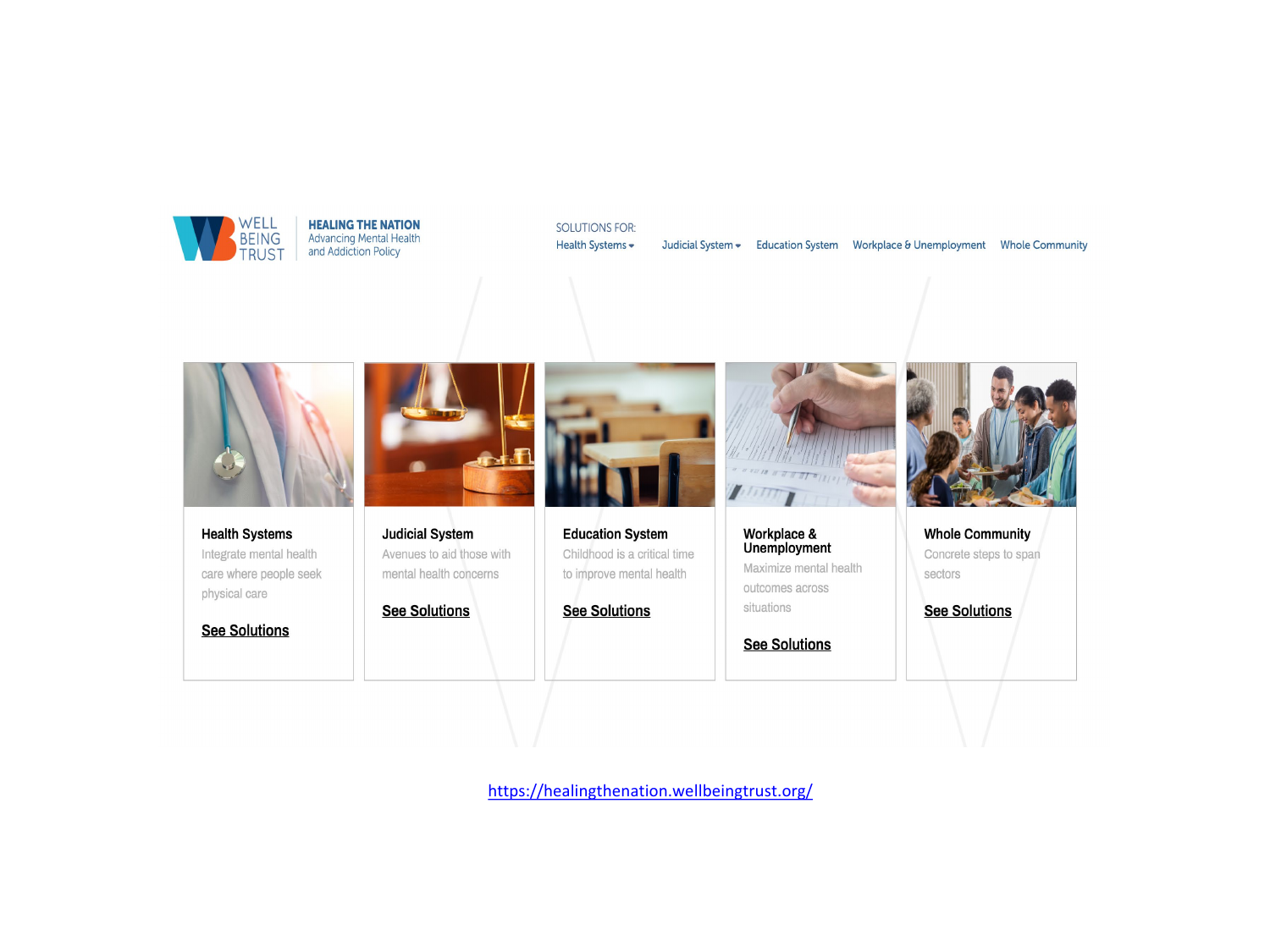

**HEALING THE NATION**<br>Advancing Mental Health<br>and Addiction Policy

## **SOLUTIONS FOR:** Health Systems -

Judicial System v Education System Workplace & Unemployment Whole Community



**Health Systems** Integrate mental health care where people seek physical care

**See Solutions** 



**Judicial System** Avenues to aid those with mental health concerns

**See Solutions** 



**Education System** Childhood is a critical time to improve mental health

**See Solutions** 



Workplace & **Unemployment** Maximize mental health outcomes across situations

**See Solutions** 



**Whole Community** Concrete steps to span sectors

**See Solutions** 

https://healingthenation.wellbeingtrust.org/